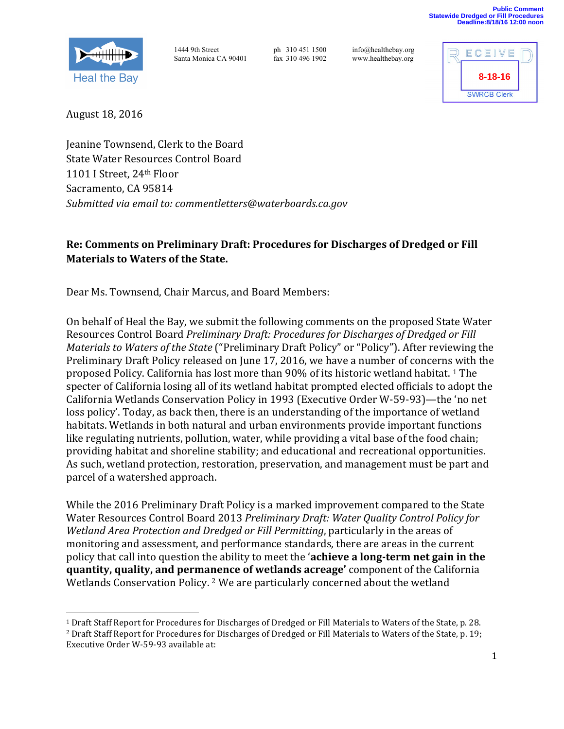



August 18, 2016

<u> 1989 - Johann Stein, fransk politik (d. 1989)</u>

Jeanine Townsend, Clerk to the Board State Water Resources Control Board 1101 I Street, 24<sup>th</sup> Floor Sacramento, CA 95814 *Submitted via email to: commentletters@waterboards.ca.gov*

# Re: Comments on Preliminary Draft: Procedures for Discharges of Dredged or Fill **Materials to Waters of the State.**

Dear Ms. Townsend, Chair Marcus, and Board Members:

On behalf of Heal the Bay, we submit the following comments on the proposed State Water Resources Control Board *Preliminary Draft: Procedures for Discharges of Dredged or Fill Materials to Waters of the State* ("Preliminary Draft Policy" or "Policy"). After reviewing the Preliminary Draft Policy released on June 17, 2016, we have a number of concerns with the proposed Policy. California has lost more than 90% of its historic wetland habitat. <sup>1</sup> The specter of California losing all of its wetland habitat prompted elected officials to adopt the California Wetlands Conservation Policy in 1993 (Executive Order W-59-93)—the 'no net loss policy'. Today, as back then, there is an understanding of the importance of wetland habitats. Wetlands in both natural and urban environments provide important functions like regulating nutrients, pollution, water, while providing a vital base of the food chain; providing habitat and shoreline stability; and educational and recreational opportunities. As such, wetland protection, restoration, preservation, and management must be part and parcel of a watershed approach.

While the 2016 Preliminary Draft Policy is a marked improvement compared to the State Water Resources Control Board 2013 Preliminary Draft: Water Quality Control Policy for *Wetland Area Protection and Dredged or Fill Permitting*, particularly in the areas of monitoring and assessment, and performance standards, there are areas in the current policy that call into question the ability to meet the 'achieve a long-term net gain in the **quantity, quality, and permanence of wetlands acreage'** component of the California Wetlands Conservation Policy.<sup>2</sup> We are particularly concerned about the wetland

<sup>&</sup>lt;sup>1</sup> Draft Staff Report for Procedures for Discharges of Dredged or Fill Materials to Waters of the State, p. 28. <sup>2</sup> Draft Staff Report for Procedures for Discharges of Dredged or Fill Materials to Waters of the State, p. 19; Executive Order W-59-93 available at: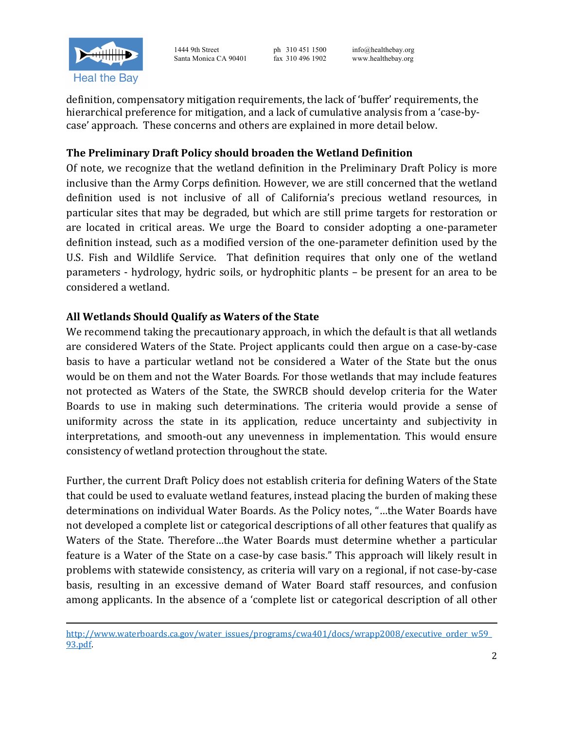

definition, compensatory mitigation requirements, the lack of 'buffer' requirements, the hierarchical preference for mitigation, and a lack of cumulative analysis from a 'case-bycase' approach. These concerns and others are explained in more detail below.

# **The Preliminary Draft Policy should broaden the Wetland Definition**

Of note, we recognize that the wetland definition in the Preliminary Draft Policy is more inclusive than the Army Corps definition. However, we are still concerned that the wetland definition used is not inclusive of all of California's precious wetland resources, in particular sites that may be degraded, but which are still prime targets for restoration or are located in critical areas. We urge the Board to consider adopting a one-parameter definition instead, such as a modified version of the one-parameter definition used by the U.S. Fish and Wildlife Service. That definition requires that only one of the wetland parameters - hydrology, hydric soils, or hydrophitic plants – be present for an area to be considered a wetland.

#### All Wetlands Should Qualify as Waters of the State

We recommend taking the precautionary approach, in which the default is that all wetlands are considered Waters of the State. Project applicants could then argue on a case-by-case basis to have a particular wetland not be considered a Water of the State but the onus would be on them and not the Water Boards. For those wetlands that may include features not protected as Waters of the State, the SWRCB should develop criteria for the Water Boards to use in making such determinations. The criteria would provide a sense of uniformity across the state in its application, reduce uncertainty and subjectivity in interpretations, and smooth-out any unevenness in implementation. This would ensure consistency of wetland protection throughout the state.

Further, the current Draft Policy does not establish criteria for defining Waters of the State that could be used to evaluate wetland features, instead placing the burden of making these determinations on individual Water Boards. As the Policy notes, "...the Water Boards have not developed a complete list or categorical descriptions of all other features that qualify as Waters of the State. Therefore...the Water Boards must determine whether a particular feature is a Water of the State on a case-by case basis." This approach will likely result in problems with statewide consistency, as criteria will vary on a regional, if not case-by-case basis, resulting in an excessive demand of Water Board staff resources, and confusion among applicants. In the absence of a 'complete list or categorical description of all other

<sup>&</sup>lt;u> 1989 - Andrea Santa Andrea Andrea Andrea Andrea Andrea Andrea Andrea Andrea Andrea Andrea Andrea Andrea Andr</u> http://www.waterboards.ca.gov/water\_issues/programs/cwa401/docs/wrapp2008/executive\_order\_w59\_ 93.pdf.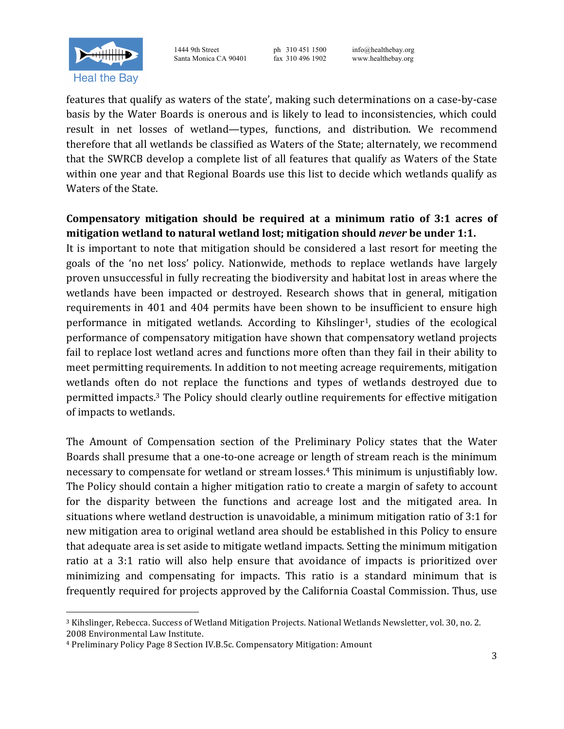

features that qualify as waters of the state', making such determinations on a case-by-case basis by the Water Boards is onerous and is likely to lead to inconsistencies, which could result in net losses of wetland—types, functions, and distribution. We recommend therefore that all wetlands be classified as Waters of the State; alternately, we recommend that the SWRCB develop a complete list of all features that qualify as Waters of the State within one year and that Regional Boards use this list to decide which wetlands qualify as Waters of the State.

#### Compensatory mitigation should be required at a minimum ratio of 3:1 acres of **mitigation wetland to natural wetland lost; mitigation should** *never* **be under 1:1.**

It is important to note that mitigation should be considered a last resort for meeting the goals of the 'no net loss' policy. Nationwide, methods to replace wetlands have largely proven unsuccessful in fully recreating the biodiversity and habitat lost in areas where the wetlands have been impacted or destroyed. Research shows that in general, mitigation requirements in 401 and 404 permits have been shown to be insufficient to ensure high performance in mitigated wetlands. According to Kihslinger<sup>1</sup>, studies of the ecological performance of compensatory mitigation have shown that compensatory wetland projects fail to replace lost wetland acres and functions more often than they fail in their ability to meet permitting requirements. In addition to not meeting acreage requirements, mitigation wetlands often do not replace the functions and types of wetlands destroyed due to permitted impacts.<sup>3</sup> The Policy should clearly outline requirements for effective mitigation of impacts to wetlands.

The Amount of Compensation section of the Preliminary Policy states that the Water Boards shall presume that a one-to-one acreage or length of stream reach is the minimum necessary to compensate for wetland or stream losses.<sup>4</sup> This minimum is unjustifiably low. The Policy should contain a higher mitigation ratio to create a margin of safety to account for the disparity between the functions and acreage lost and the mitigated area. In situations where wetland destruction is unavoidable, a minimum mitigation ratio of  $3:1$  for new mitigation area to original wetland area should be established in this Policy to ensure that adequate area is set aside to mitigate wetland impacts. Setting the minimum mitigation ratio at a 3:1 ratio will also help ensure that avoidance of impacts is prioritized over minimizing and compensating for impacts. This ratio is a standard minimum that is frequently required for projects approved by the California Coastal Commission. Thus, use

<u> 1989 - Johann Stein, fransk politik (d. 1989)</u>

<sup>&</sup>lt;sup>3</sup> Kihslinger, Rebecca. Success of Wetland Mitigation Projects. National Wetlands Newsletter, vol. 30, no. 2. 2008 Environmental Law Institute.

<sup>&</sup>lt;sup>4</sup> Preliminary Policy Page 8 Section IV.B.5c. Compensatory Mitigation: Amount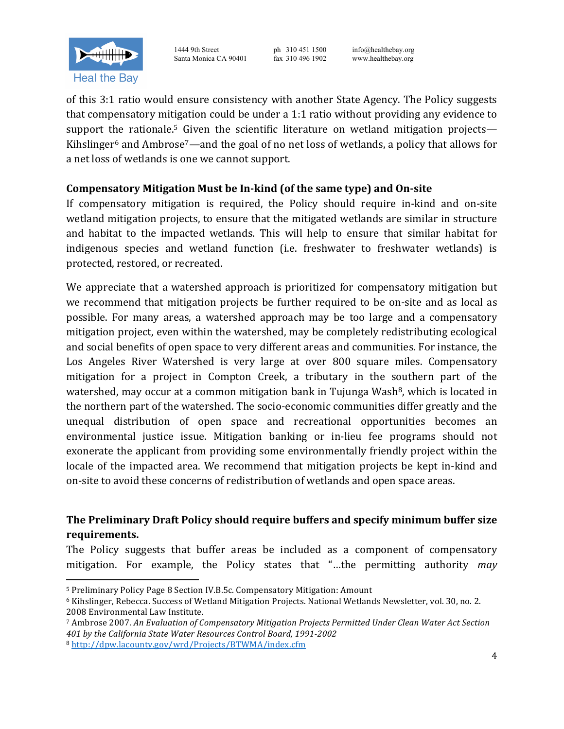

of this 3:1 ratio would ensure consistency with another State Agency. The Policy suggests that compensatory mitigation could be under a 1:1 ratio without providing any evidence to support the rationale.<sup>5</sup> Given the scientific literature on wetland mitigation projects— Kihslinger<sup>6</sup> and Ambrose<sup>7</sup>—and the goal of no net loss of wetlands, a policy that allows for a net loss of wetlands is one we cannot support.

### **Compensatory Mitigation Must be In-kind (of the same type) and On-site**

If compensatory mitigation is required, the Policy should require in-kind and on-site wetland mitigation projects, to ensure that the mitigated wetlands are similar in structure and habitat to the impacted wetlands. This will help to ensure that similar habitat for indigenous species and wetland function (i.e. freshwater to freshwater wetlands) is protected, restored, or recreated.

We appreciate that a watershed approach is prioritized for compensatory mitigation but we recommend that mitigation projects be further required to be on-site and as local as possible. For many areas, a watershed approach may be too large and a compensatory mitigation project, even within the watershed, may be completely redistributing ecological and social benefits of open space to very different areas and communities. For instance, the Los Angeles River Watershed is very large at over 800 square miles. Compensatory mitigation for a project in Compton Creek, a tributary in the southern part of the watershed, may occur at a common mitigation bank in Tujunga Wash $\delta$ , which is located in the northern part of the watershed. The socio-economic communities differ greatly and the unequal distribution of open space and recreational opportunities becomes an environmental justice issue. Mitigation banking or in-lieu fee programs should not exonerate the applicant from providing some environmentally friendly project within the locale of the impacted area. We recommend that mitigation projects be kept in-kind and on-site to avoid these concerns of redistribution of wetlands and open space areas.

# **The Preliminary Draft Policy should require buffers and specify minimum buffer size requirements.**

The Policy suggests that buffer areas be included as a component of compensatory mitigation. For example, the Policy states that "...the permitting authority *may* 

<u> 1989 - Johann Stein, fransk politik (d. 1989)</u>

<sup>7</sup> Ambrose 2007. An Evaluation of Compensatory Mitigation Projects Permitted Under Clean Water Act Section *401 by the California State Water Resources Control Board, 1991-2002* <sup>8</sup> http://dpw.lacounty.gov/wrd/Projects/BTWMA/index.cfm

<sup>&</sup>lt;sup>5</sup> Preliminary Policy Page 8 Section IV.B.5c. Compensatory Mitigation: Amount

<sup>&</sup>lt;sup>6</sup> Kihslinger, Rebecca. Success of Wetland Mitigation Projects. National Wetlands Newsletter, vol. 30, no. 2. 2008 Environmental Law Institute.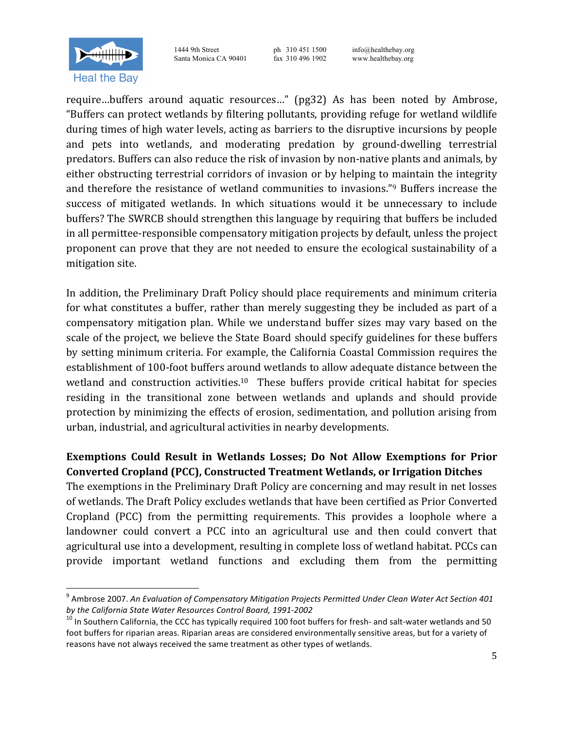

<u> 1989 - Johann Stein, fransk politik (d. 1989)</u>

1444 9th Street ph 310 451 1500 info@healthebay.org Santa Monica CA 90401 fax 310 496 1902 www.healthebay.org

require…buffers around aquatic resources…" (pg32) As has been noted by Ambrose, "Buffers can protect wetlands by filtering pollutants, providing refuge for wetland wildlife during times of high water levels, acting as barriers to the disruptive incursions by people and pets into wetlands, and moderating predation by ground-dwelling terrestrial predators. Buffers can also reduce the risk of invasion by non-native plants and animals, by either obstructing terrestrial corridors of invasion or by helping to maintain the integrity and therefore the resistance of wetland communities to invasions." $9$  Buffers increase the success of mitigated wetlands. In which situations would it be unnecessary to include buffers? The SWRCB should strengthen this language by requiring that buffers be included in all permittee-responsible compensatory mitigation projects by default, unless the project proponent can prove that they are not needed to ensure the ecological sustainability of a mitigation site.

In addition, the Preliminary Draft Policy should place requirements and minimum criteria for what constitutes a buffer, rather than merely suggesting they be included as part of a compensatory mitigation plan. While we understand buffer sizes may vary based on the scale of the project, we believe the State Board should specify guidelines for these buffers by setting minimum criteria. For example, the California Coastal Commission requires the establishment of 100-foot buffers around wetlands to allow adequate distance between the wetland and construction activities.<sup>10</sup> These buffers provide critical habitat for species residing in the transitional zone between wetlands and uplands and should provide protection by minimizing the effects of erosion, sedimentation, and pollution arising from urban, industrial, and agricultural activities in nearby developments.

### **Exemptions Could Result in Wetlands Losses; Do Not Allow Exemptions for Prior Converted Cropland (PCC), Constructed Treatment Wetlands, or Irrigation Ditches**

The exemptions in the Preliminary Draft Policy are concerning and may result in net losses of wetlands. The Draft Policy excludes wetlands that have been certified as Prior Converted Cropland (PCC) from the permitting requirements. This provides a loophole where a landowner could convert a PCC into an agricultural use and then could convert that agricultural use into a development, resulting in complete loss of wetland habitat. PCCs can provide important wetland functions and excluding them from the permitting

<sup>&</sup>lt;sup>9</sup> Ambrose 2007. An Evaluation of Compensatory Mitigation Projects Permitted Under Clean Water Act Section 401 *by the California State Water Resources Control Board, 1991-2002*<br><sup>10</sup> In Southern California, the CCC has typically required 100 foot buffers for fresh- and salt-water wetlands and 50

foot buffers for riparian areas. Riparian areas are considered environmentally sensitive areas, but for a variety of reasons have not always received the same treatment as other types of wetlands.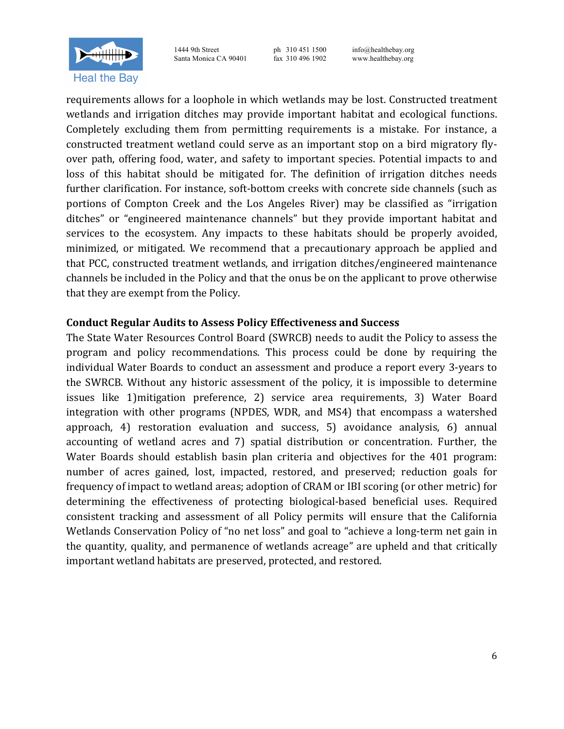

requirements allows for a loophole in which wetlands may be lost. Constructed treatment wetlands and irrigation ditches may provide important habitat and ecological functions. Completely excluding them from permitting requirements is a mistake. For instance, a constructed treatment wetland could serve as an important stop on a bird migratory flyover path, offering food, water, and safety to important species. Potential impacts to and loss of this habitat should be mitigated for. The definition of irrigation ditches needs further clarification. For instance, soft-bottom creeks with concrete side channels (such as portions of Compton Creek and the Los Angeles River) may be classified as "irrigation ditches" or "engineered maintenance channels" but they provide important habitat and services to the ecosystem. Any impacts to these habitats should be properly avoided, minimized, or mitigated. We recommend that a precautionary approach be applied and that PCC, constructed treatment wetlands, and irrigation ditches/engineered maintenance channels be included in the Policy and that the onus be on the applicant to prove otherwise that they are exempt from the Policy.

#### **Conduct Regular Audits to Assess Policy Effectiveness and Success**

The State Water Resources Control Board (SWRCB) needs to audit the Policy to assess the program and policy recommendations. This process could be done by requiring the individual Water Boards to conduct an assessment and produce a report every 3-years to the SWRCB. Without any historic assessment of the policy, it is impossible to determine issues like 1)mitigation preference, 2) service area requirements, 3) Water Board integration with other programs (NPDES, WDR, and MS4) that encompass a watershed approach, 4) restoration evaluation and success, 5) avoidance analysis, 6) annual accounting of wetland acres and 7) spatial distribution or concentration. Further, the Water Boards should establish basin plan criteria and objectives for the 401 program: number of acres gained, lost, impacted, restored, and preserved; reduction goals for frequency of impact to wetland areas; adoption of CRAM or IBI scoring (or other metric) for determining the effectiveness of protecting biological-based beneficial uses. Required consistent tracking and assessment of all Policy permits will ensure that the California Wetlands Conservation Policy of "no net loss" and goal to "achieve a long-term net gain in the quantity, quality, and permanence of wetlands acreage" are upheld and that critically important wetland habitats are preserved, protected, and restored.